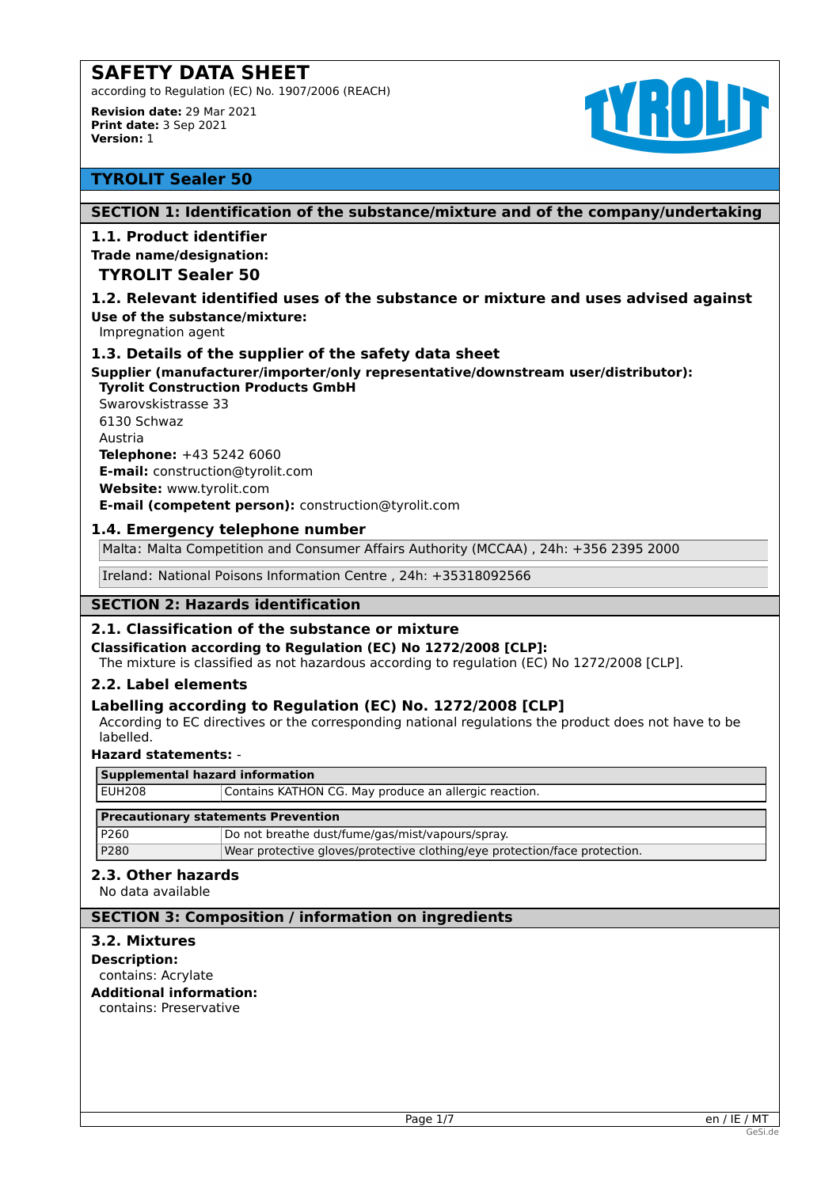according to Regulation (EC) No. 1907/2006 (REACH)

**Revision date:** 29 Mar 2021 **Print date:** 3 Sep 2021 **Version:** 1



# **TYROLIT Sealer 50**

# **SECTION 1: Identification of the substance/mixture and of the company/undertaking**

# **1.1. Product identifier**

#### **Trade name/designation:**

# **TYROLIT Sealer 50**

#### **1.2. Relevant identified uses of the substance or mixture and uses advised against Use of the substance/mixture:**

Impregnation agent

# **1.3. Details of the supplier of the safety data sheet**

**Supplier (manufacturer/importer/only representative/downstream user/distributor): Tyrolit Construction Products GmbH** 

Swarovskistrasse 33 6130 Schwaz Austria **Telephone:** +43 5242 6060 **E-mail:** construction@tyrolit.com **Website:** www.tyrolit.com **E-mail (competent person):** construction@tyrolit.com

# **1.4. Emergency telephone number**

Malta: Malta Competition and Consumer Affairs Authority (MCCAA) , 24h: +356 2395 2000

Ireland: National Poisons Information Centre , 24h: +35318092566

# **SECTION 2: Hazards identification**

# **2.1. Classification of the substance or mixture**

#### **Classification according to Regulation (EC) No 1272/2008 [CLP]:**

The mixture is classified as not hazardous according to regulation (EC) No 1272/2008 [CLP].

#### **2.2. Label elements**

# **Labelling according to Regulation (EC) No. 1272/2008 [CLP]**

According to EC directives or the corresponding national regulations the product does not have to be labelled.

#### **Hazard statements:** -

| Supplemental hazard information            |                                                                            |  |  |
|--------------------------------------------|----------------------------------------------------------------------------|--|--|
| <b>EUH208</b>                              | Contains KATHON CG. May produce an allergic reaction.                      |  |  |
| <b>Precautionary statements Prevention</b> |                                                                            |  |  |
| P260                                       | Do not breathe dust/fume/gas/mist/vapours/spray.                           |  |  |
| P280                                       | Wear protective gloves/protective clothing/eye protection/face protection. |  |  |

# **2.3. Other hazards**

No data available

# **SECTION 3: Composition / information on ingredients**

#### **3.2. Mixtures**

**Description:** contains: Acrylate **Additional information:**

contains: Preservative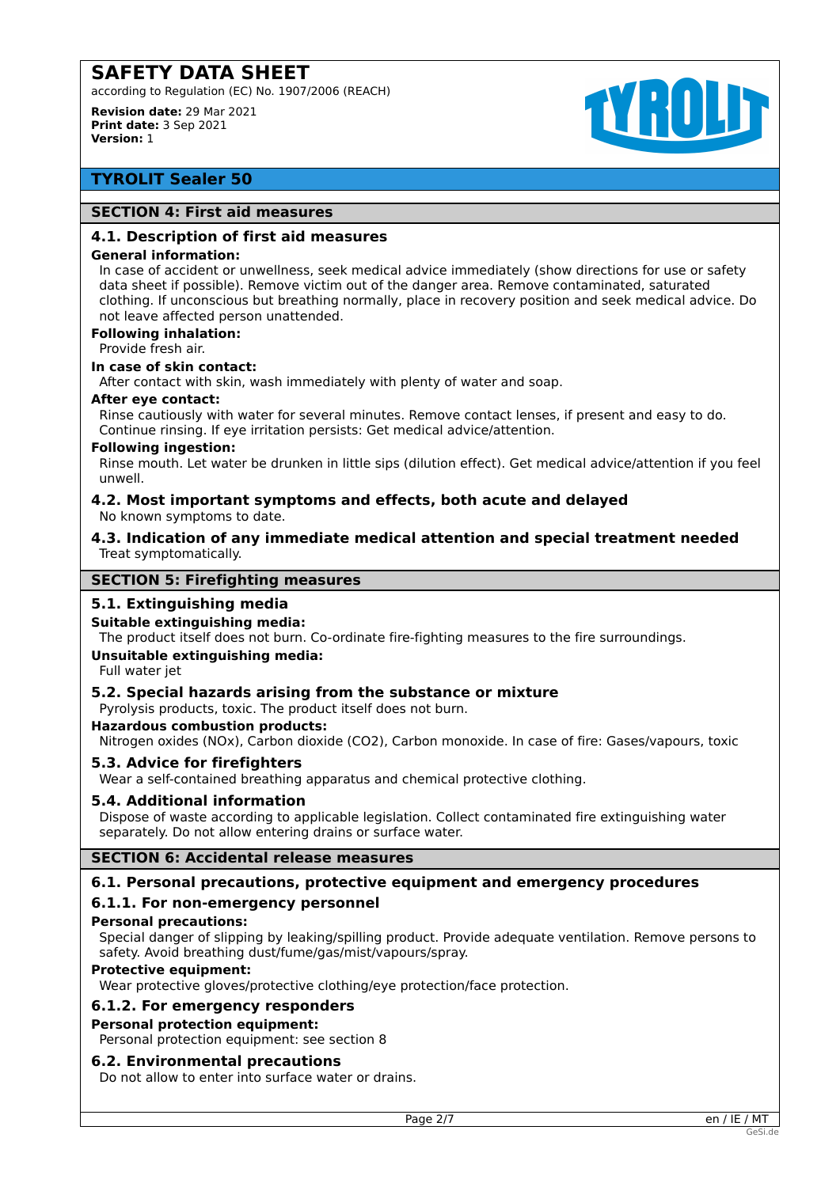according to Regulation (EC) No. 1907/2006 (REACH)

**Revision date:** 29 Mar 2021 **Print date:** 3 Sep 2021 **Version:** 1



# **TYROLIT Sealer 50**

#### **SECTION 4: First aid measures**

#### **4.1. Description of first aid measures**

#### **General information:**

In case of accident or unwellness, seek medical advice immediately (show directions for use or safety data sheet if possible). Remove victim out of the danger area. Remove contaminated, saturated clothing. If unconscious but breathing normally, place in recovery position and seek medical advice. Do not leave affected person unattended.

# **Following inhalation:**

Provide fresh air.

# **In case of skin contact:**

After contact with skin, wash immediately with plenty of water and soap.

#### **After eye contact:**

Rinse cautiously with water for several minutes. Remove contact lenses, if present and easy to do. Continue rinsing. If eye irritation persists: Get medical advice/attention.

#### **Following ingestion:**

Rinse mouth. Let water be drunken in little sips (dilution effect). Get medical advice/attention if you feel unwell.

#### **4.2. Most important symptoms and effects, both acute and delayed** No known symptoms to date.

**4.3. Indication of any immediate medical attention and special treatment needed** Treat symptomatically.

#### **SECTION 5: Firefighting measures**

# **5.1. Extinguishing media**

#### **Suitable extinguishing media:**

The product itself does not burn. Co-ordinate fire-fighting measures to the fire surroundings.

#### **Unsuitable extinguishing media:**

Full water jet

#### **5.2. Special hazards arising from the substance or mixture**

Pyrolysis products, toxic. The product itself does not burn.

#### **Hazardous combustion products:**

Nitrogen oxides (NOx), Carbon dioxide (CO2), Carbon monoxide. In case of fire: Gases/vapours, toxic

#### **5.3. Advice for firefighters**

Wear a self-contained breathing apparatus and chemical protective clothing.

#### **5.4. Additional information**

Dispose of waste according to applicable legislation. Collect contaminated fire extinguishing water separately. Do not allow entering drains or surface water.

# **SECTION 6: Accidental release measures**

#### **6.1. Personal precautions, protective equipment and emergency procedures**

# **6.1.1. For non-emergency personnel**

#### **Personal precautions:**

Special danger of slipping by leaking/spilling product. Provide adequate ventilation. Remove persons to safety. Avoid breathing dust/fume/gas/mist/vapours/spray.

#### **Protective equipment:**

Wear protective gloves/protective clothing/eye protection/face protection.

#### **6.1.2. For emergency responders**

#### **Personal protection equipment:**

Personal protection equipment: see section 8

#### **6.2. Environmental precautions**

Do not allow to enter into surface water or drains.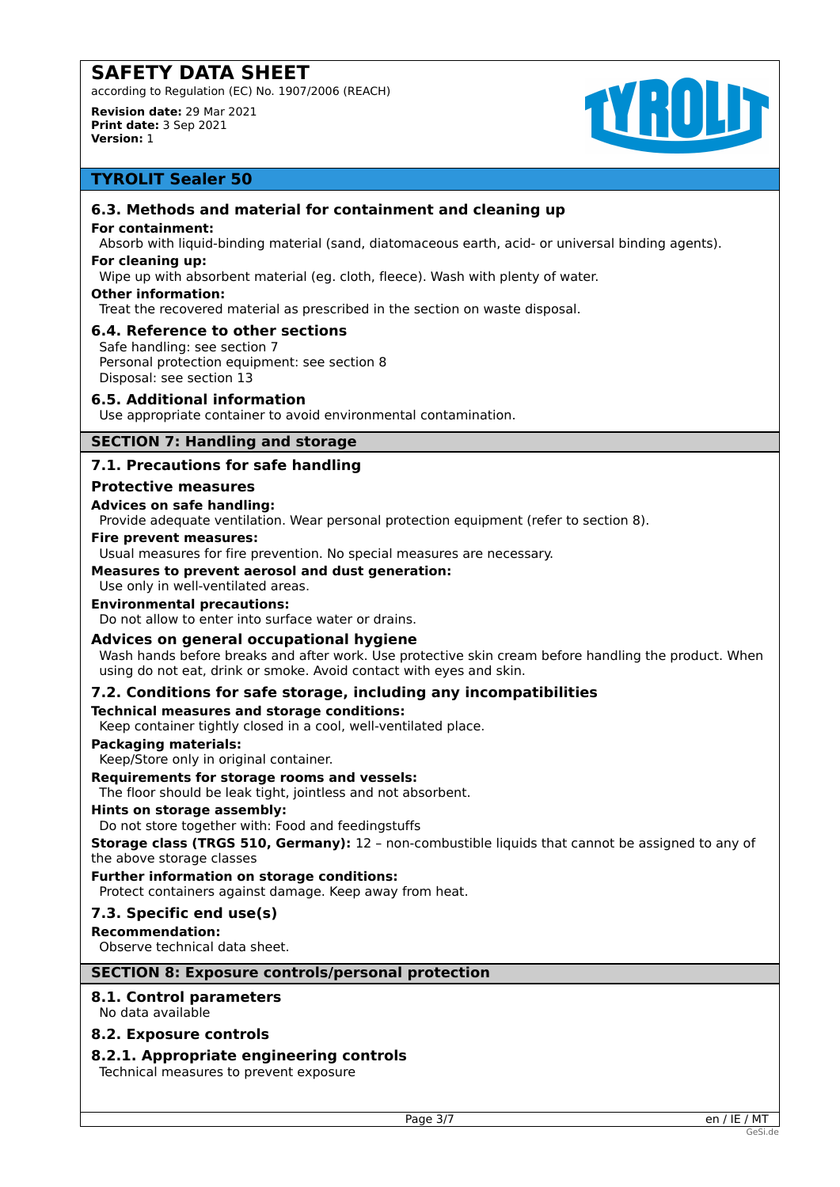according to Regulation (EC) No. 1907/2006 (REACH)

**Revision date:** 29 Mar 2021 **Print date:** 3 Sep 2021 **Version:** 1

# **TYROLD**

# **TYROLIT Sealer 50**

# **6.3. Methods and material for containment and cleaning up**

#### **For containment:**

Absorb with liquid-binding material (sand, diatomaceous earth, acid- or universal binding agents).

## **For cleaning up:**

Wipe up with absorbent material (eg. cloth, fleece). Wash with plenty of water.

#### **Other information:**

Treat the recovered material as prescribed in the section on waste disposal.

# **6.4. Reference to other sections**

Safe handling: see section 7 Personal protection equipment: see section 8 Disposal: see section 13

# **6.5. Additional information**

Use appropriate container to avoid environmental contamination.

# **SECTION 7: Handling and storage**

# **7.1. Precautions for safe handling**

#### **Protective measures**

#### **Advices on safe handling:**

Provide adequate ventilation. Wear personal protection equipment (refer to section 8).

#### **Fire prevent measures:**

Usual measures for fire prevention. No special measures are necessary.

#### **Measures to prevent aerosol and dust generation:**

Use only in well-ventilated areas.

### **Environmental precautions:**

Do not allow to enter into surface water or drains.

# **Advices on general occupational hygiene**

Wash hands before breaks and after work. Use protective skin cream before handling the product. When using do not eat, drink or smoke. Avoid contact with eyes and skin.

# **7.2. Conditions for safe storage, including any incompatibilities**

#### **Technical measures and storage conditions:**

Keep container tightly closed in a cool, well-ventilated place.

#### **Packaging materials:**

Keep/Store only in original container.

#### **Requirements for storage rooms and vessels:**

The floor should be leak tight, jointless and not absorbent.

#### **Hints on storage assembly:**

Do not store together with: Food and feedingstuffs

**Storage class (TRGS 510, Germany):** 12 – non-combustible liquids that cannot be assigned to any of the above storage classes

#### **Further information on storage conditions:**

Protect containers against damage. Keep away from heat.

# **7.3. Specific end use(s)**

**Recommendation:**

Observe technical data sheet.

# **SECTION 8: Exposure controls/personal protection**

# **8.1. Control parameters**

No data available

# **8.2. Exposure controls**

# **8.2.1. Appropriate engineering controls**

Technical measures to prevent exposure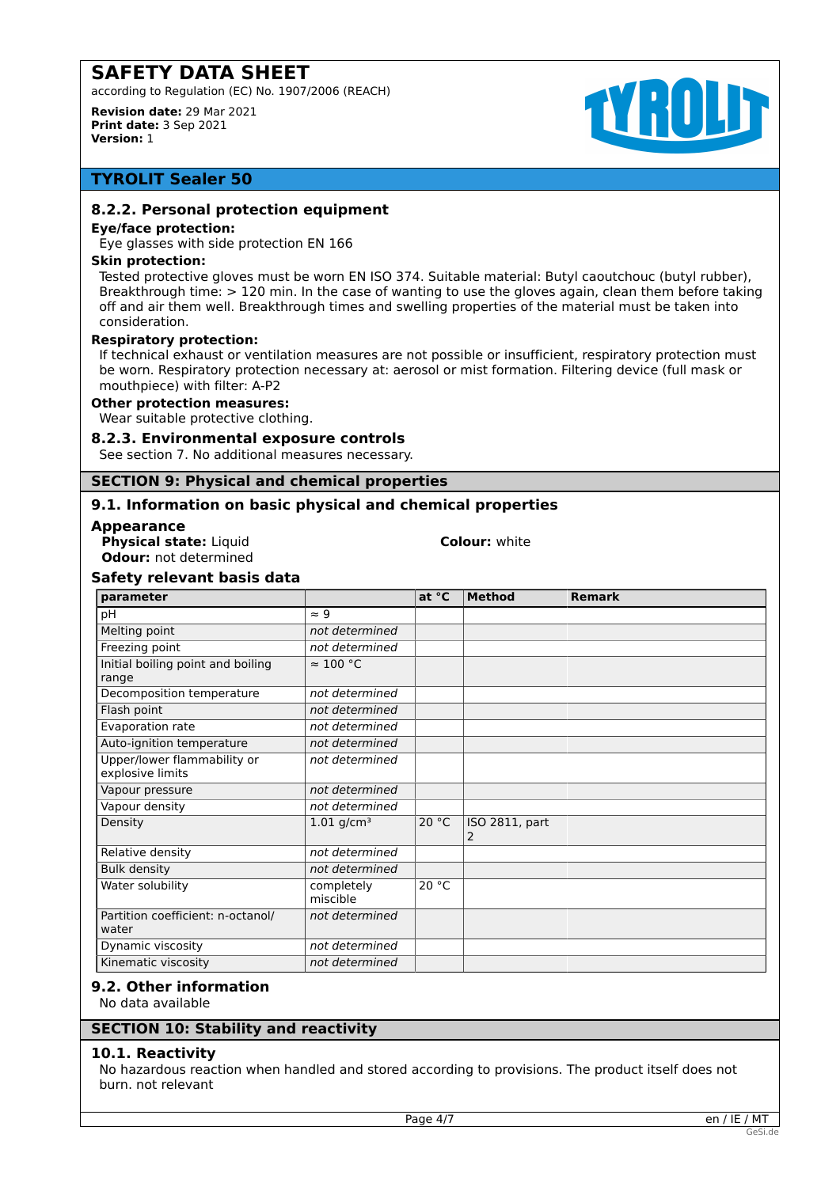according to Regulation (EC) No. 1907/2006 (REACH)

**Revision date:** 29 Mar 2021 **Print date:** 3 Sep 2021 **Version:** 1

# **TYROLD**

# **TYROLIT Sealer 50**

# **8.2.2. Personal protection equipment**

#### **Eye/face protection:**

Eye glasses with side protection EN 166

#### **Skin protection:**

Tested protective gloves must be worn EN ISO 374. Suitable material: Butyl caoutchouc (butyl rubber), Breakthrough time: > 120 min. In the case of wanting to use the gloves again, clean them before taking off and air them well. Breakthrough times and swelling properties of the material must be taken into consideration.

#### **Respiratory protection:**

If technical exhaust or ventilation measures are not possible or insufficient, respiratory protection must be worn. Respiratory protection necessary at: aerosol or mist formation. Filtering device (full mask or mouthpiece) with filter: A-P2

#### **Other protection measures:**

Wear suitable protective clothing.

#### **8.2.3. Environmental exposure controls**

See section 7. No additional measures necessary.

#### **SECTION 9: Physical and chemical properties**

# **9.1. Information on basic physical and chemical properties**

#### **Appearance**

**Physical state:** Liquid **Colour:** white **Odour:** not determined

# **Safety relevant basis data**

| parameter                                       |                          | at °C | <b>Method</b>       | <b>Remark</b> |
|-------------------------------------------------|--------------------------|-------|---------------------|---------------|
| pH                                              | $\approx 9$              |       |                     |               |
| Melting point                                   | not determined           |       |                     |               |
| Freezing point                                  | not determined           |       |                     |               |
| Initial boiling point and boiling<br>range      | $\approx 100$ °C         |       |                     |               |
| Decomposition temperature                       | not determined           |       |                     |               |
| Flash point                                     | not determined           |       |                     |               |
| Evaporation rate                                | not determined           |       |                     |               |
| Auto-ignition temperature                       | not determined           |       |                     |               |
| Upper/lower flammability or<br>explosive limits | not determined           |       |                     |               |
| Vapour pressure                                 | not determined           |       |                     |               |
| Vapour density                                  | not determined           |       |                     |               |
| Density                                         | $1.01$ g/cm <sup>3</sup> | 20 °C | ISO 2811, part<br>2 |               |
| Relative density                                | not determined           |       |                     |               |
| <b>Bulk density</b>                             | not determined           |       |                     |               |
| Water solubility                                | completely<br>miscible   | 20 °C |                     |               |
| Partition coefficient: n-octanol/<br>water      | not determined           |       |                     |               |
| Dynamic viscosity                               | not determined           |       |                     |               |
| Kinematic viscosity                             | not determined           |       |                     |               |

# **9.2. Other information**

No data available

# **10.1. Reactivity**

No hazardous reaction when handled and stored according to provisions. The product itself does not burn. not relevant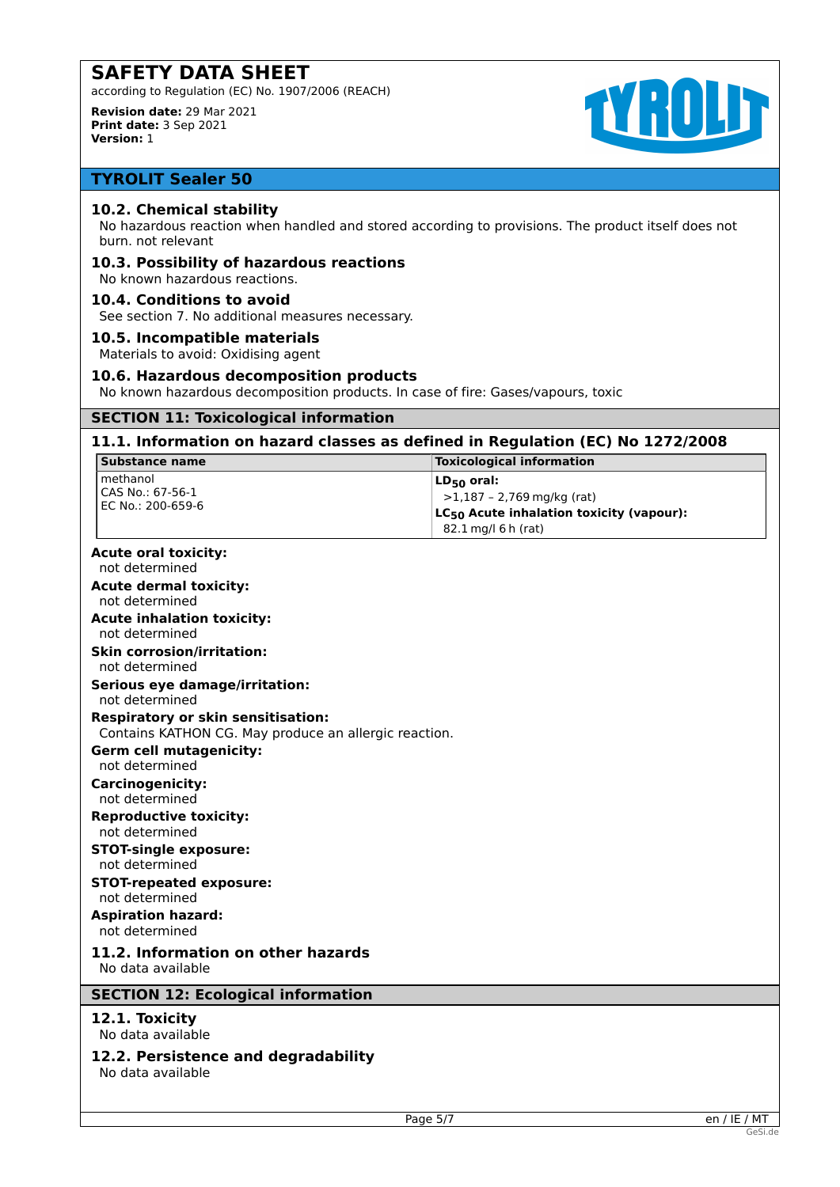according to Regulation (EC) No. 1907/2006 (REACH)

**Revision date:** 29 Mar 2021 **Print date:** 3 Sep 2021 **Version:** 1



# **TYROLIT Sealer 50**

# **10.2. Chemical stability**

No hazardous reaction when handled and stored according to provisions. The product itself does not burn. not relevant

# **10.3. Possibility of hazardous reactions**

No known hazardous reactions.

## **10.4. Conditions to avoid**

See section 7. No additional measures necessary.

#### **10.5. Incompatible materials**

Materials to avoid: Oxidising agent

#### **10.6. Hazardous decomposition products**

No known hazardous decomposition products. In case of fire: Gases/vapours, toxic

# **SECTION 11: Toxicological information**

#### **11.1. Information on hazard classes as defined in Regulation (EC) No 1272/2008**

| Substance name                                                                                     | <b>Toxicological information</b>                                                                                               |
|----------------------------------------------------------------------------------------------------|--------------------------------------------------------------------------------------------------------------------------------|
| methanol<br>CAS No.: 67-56-1<br>EC No.: 200-659-6                                                  | $LD_{50}$ oral:<br>$>1,187 - 2,769$ mg/kg (rat)<br>LC <sub>50</sub> Acute inhalation toxicity (vapour):<br>82.1 mg/l 6 h (rat) |
| <b>Acute oral toxicity:</b><br>not determined                                                      |                                                                                                                                |
| <b>Acute dermal toxicity:</b>                                                                      |                                                                                                                                |
| not determined                                                                                     |                                                                                                                                |
| <b>Acute inhalation toxicity:</b><br>not determined                                                |                                                                                                                                |
| <b>Skin corrosion/irritation:</b><br>not determined                                                |                                                                                                                                |
| Serious eye damage/irritation:<br>not determined                                                   |                                                                                                                                |
| <b>Respiratory or skin sensitisation:</b><br>Contains KATHON CG. May produce an allergic reaction. |                                                                                                                                |
| <b>Germ cell mutagenicity:</b>                                                                     |                                                                                                                                |
| not determined                                                                                     |                                                                                                                                |
| <b>Carcinogenicity:</b><br>not determined                                                          |                                                                                                                                |
| <b>Reproductive toxicity:</b><br>not determined                                                    |                                                                                                                                |
| <b>STOT-single exposure:</b><br>not determined                                                     |                                                                                                                                |
| <b>STOT-repeated exposure:</b><br>not determined                                                   |                                                                                                                                |
| <b>Aspiration hazard:</b><br>not determined                                                        |                                                                                                                                |
| 11.2. Information on other hazards<br>No data available                                            |                                                                                                                                |
| <b>SECTION 12: Ecological information</b>                                                          |                                                                                                                                |
| 12.1. Toxicity<br>No data available                                                                |                                                                                                                                |
| 12.2. Persistence and degradability<br>No data available                                           |                                                                                                                                |
|                                                                                                    |                                                                                                                                |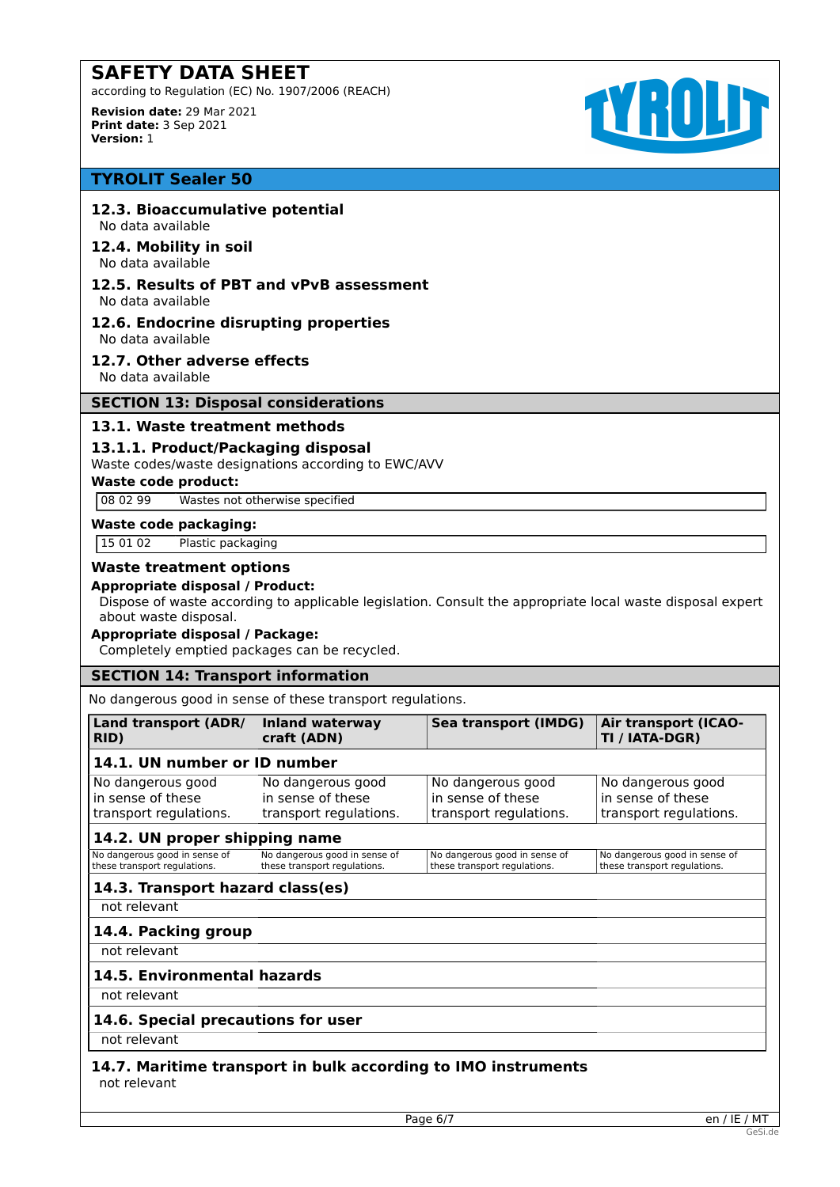according to Regulation (EC) No. 1907/2006 (REACH)

**Revision date:** 29 Mar 2021 **Print date:** 3 Sep 2021 **Version:** 1



# **TYROLIT Sealer 50**

## **12.3. Bioaccumulative potential**

No data available

#### **12.4. Mobility in soil** No data available

#### **12.5. Results of PBT and vPvB assessment** No data available

#### **12.6. Endocrine disrupting properties** No data available

**12.7. Other adverse effects**

No data available

#### **SECTION 13: Disposal considerations**

# **13.1. Waste treatment methods**

# **13.1.1. Product/Packaging disposal**

Waste codes/waste designations according to EWC/AVV

#### **Waste code product:**

08 02 99 Wastes not otherwise specified

#### **Waste code packaging:**

15 01 02 Plastic packaging

# **Waste treatment options**

#### **Appropriate disposal / Product:**

Dispose of waste according to applicable legislation. Consult the appropriate local waste disposal expert about waste disposal.

# **Appropriate disposal / Package:**

Completely emptied packages can be recycled.

# **SECTION 14: Transport information**

No dangerous good in sense of these transport regulations.

| Land transport (ADR/<br>RID)                                     | <b>Inland waterway</b><br>craft (ADN)                            | Sea transport (IMDG)                                             | <b>Air transport (ICAO-</b><br>TI / IATA-DGR)                    |
|------------------------------------------------------------------|------------------------------------------------------------------|------------------------------------------------------------------|------------------------------------------------------------------|
| 14.1. UN number or ID number                                     |                                                                  |                                                                  |                                                                  |
| No dangerous good<br>in sense of these<br>transport regulations. | No dangerous good<br>in sense of these<br>transport regulations. | No dangerous good<br>in sense of these<br>transport regulations. | No dangerous good<br>in sense of these<br>transport regulations. |
| 14.2. UN proper shipping name                                    |                                                                  |                                                                  |                                                                  |
| No dangerous good in sense of<br>these transport regulations.    | No dangerous good in sense of<br>these transport regulations.    | No dangerous good in sense of<br>these transport regulations.    | No dangerous good in sense of<br>these transport regulations.    |
| 14.3. Transport hazard class(es)                                 |                                                                  |                                                                  |                                                                  |
| not relevant                                                     |                                                                  |                                                                  |                                                                  |
| 14.4. Packing group                                              |                                                                  |                                                                  |                                                                  |
| not relevant                                                     |                                                                  |                                                                  |                                                                  |
| 14.5. Environmental hazards                                      |                                                                  |                                                                  |                                                                  |
| not relevant                                                     |                                                                  |                                                                  |                                                                  |
| 14.6. Special precautions for user                               |                                                                  |                                                                  |                                                                  |

not relevant

# **14.7. Maritime transport in bulk according to IMO instruments** not relevant